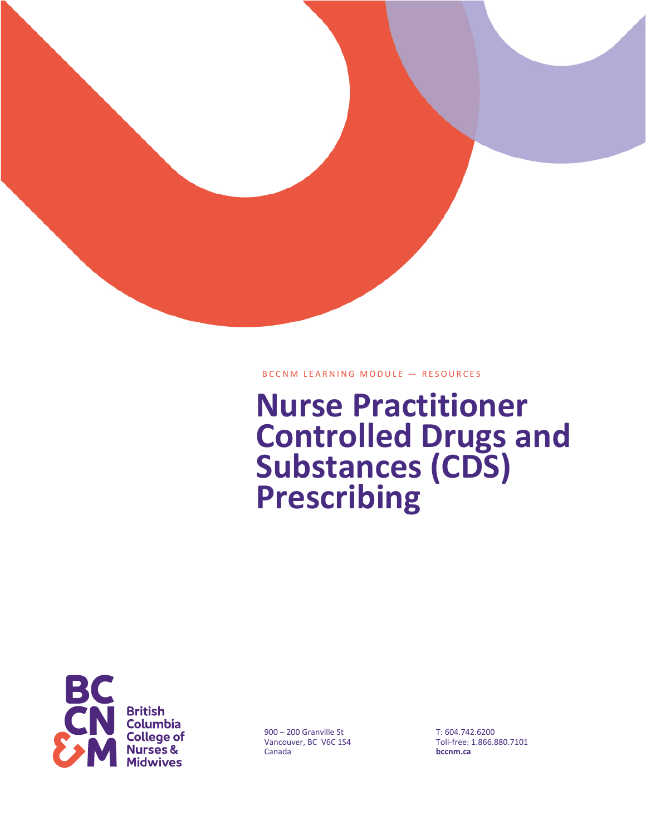

# BCCNM LEARNING MODULE — RESOURCES

# **Nurse Practitioner Controlled Drugs and Substances (CDS) Prescribing**



900 – 200 Granville St Vancouver, BC V6C 1S4 Canada

T: 604.742.6200 Toll-free: 1.866.880.7101 **bccnm.ca**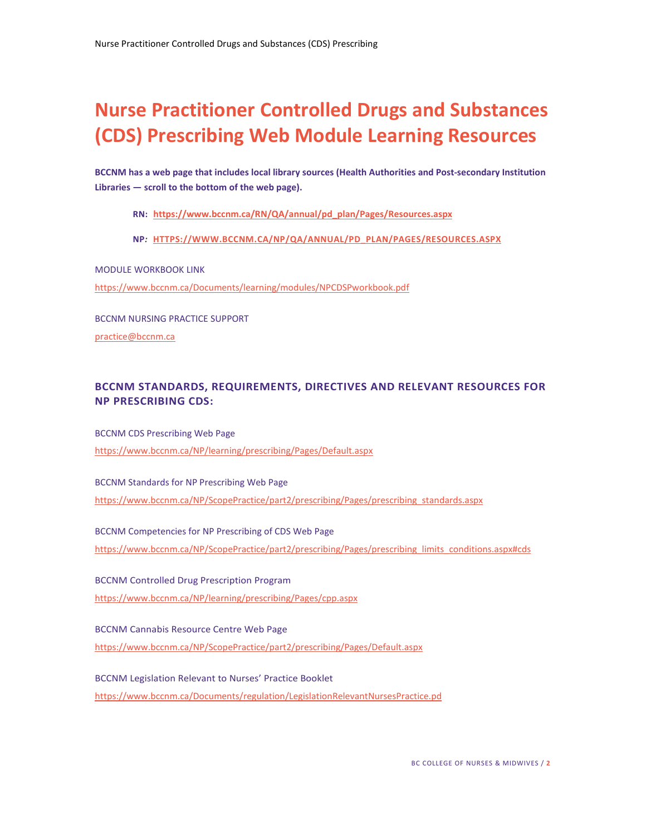# **Nurse Practitioner Controlled Drugs and Substances (CDS) Prescribing Web Module Learning Resources**

**BCCNM has a web page that includes local library sources (Health Authorities and Post-secondary Institution Libraries — scroll to the bottom of the web page).**

**RN: [https://www.bccnm.ca/RN/QA/annual/pd\\_plan/Pages/Resources.aspx](https://www.bccnm.ca/RN/QA/annual/pd_plan/Pages/Resources.aspx)**

**NP***:* **[HTTPS://WWW.BCCNM.CA/NP/QA/ANNUAL/PD\\_PLAN/PAGES/RESOURCES.ASPX](https://www.bccnm.ca/NP/QA/annual/pd_plan/Pages/Resources.aspx)**

MODULE WORKBOOK LINK

<https://www.bccnm.ca/Documents/learning/modules/NPCDSPworkbook.pdf>

BCCNM NURSING PRACTICE SUPPORT [practice@bccnm.ca](mailto:practice@bccnm.ca)

# **BCCNM STANDARDS, REQUIREMENTS, DIRECTIVES AND RELEVANT RESOURCES FOR NP PRESCRIBING CDS:**

BCCNM CDS Prescribing Web Page <https://www.bccnm.ca/NP/learning/prescribing/Pages/Default.aspx>

BCCNM Standards for NP Prescribing Web Page [https://www.bccnm.ca/NP/ScopePractice/part2/prescribing/Pages/prescribing\\_standards.aspx](https://www.bccnm.ca/NP/ScopePractice/part2/prescribing/Pages/prescribing_standards.aspx)

BCCNM Competencies for NP Prescribing of CDS Web Page [https://www.bccnm.ca/NP/ScopePractice/part2/prescribing/Pages/prescribing\\_limits\\_conditions.aspx#cds](https://www.bccnm.ca/NP/ScopePractice/part2/prescribing/Pages/prescribing_limits_conditions.aspx#cds)

BCCNM Controlled Drug Prescription Program <https://www.bccnm.ca/NP/learning/prescribing/Pages/cpp.aspx>

BCCNM Cannabis Resource Centre Web Page <https://www.bccnm.ca/NP/ScopePractice/part2/prescribing/Pages/Default.aspx>

BCCNM Legislation Relevant to Nurses' Practice Booklet <https://www.bccnm.ca/Documents/regulation/LegislationRelevantNursesPractice.pd>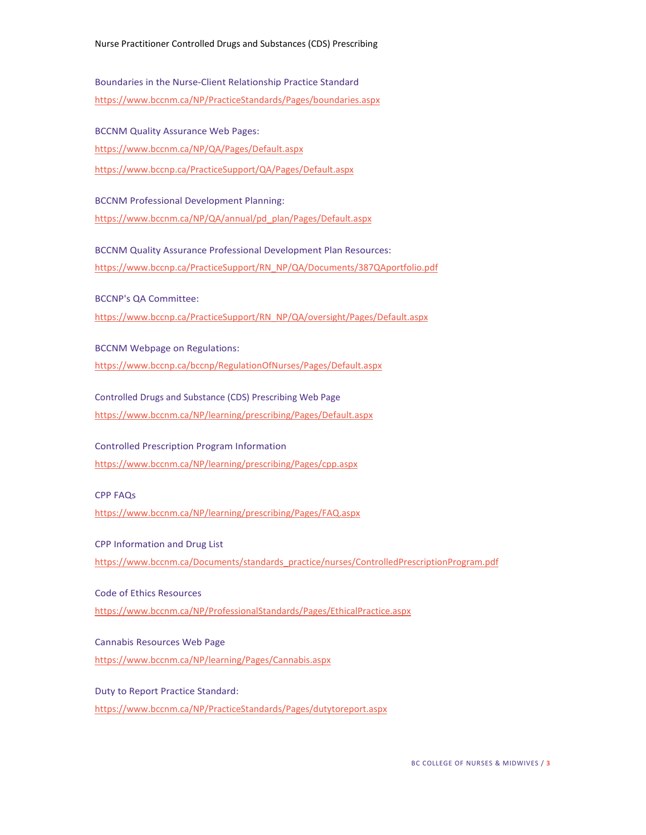Boundaries in the Nurse-Client Relationship Practice Standard <https://www.bccnm.ca/NP/PracticeStandards/Pages/boundaries.aspx>

BCCNM Quality Assurance Web Pages:

<https://www.bccnm.ca/NP/QA/Pages/Default.aspx>

<https://www.bccnp.ca/PracticeSupport/QA/Pages/Default.aspx>

BCCNM Professional Development Planning: [https://www.bccnm.ca/NP/QA/annual/pd\\_plan/Pages/Default.aspx](https://www.bccnm.ca/NP/QA/annual/pd_plan/Pages/Default.aspx)

BCCNM Quality Assurance Professional Development Plan Resources: [https://www.bccnp.ca/PracticeSupport/RN\\_NP/QA/Documents/387QAportfolio.pdf](https://www.bccnp.ca/PracticeSupport/RN_NP/QA/Documents/387QAportfolio.pdf)

BCCNP's QA Committee:

[https://www.bccnp.ca/PracticeSupport/RN\\_NP/QA/oversight/Pages/Default.aspx](https://www.bccnp.ca/PracticeSupport/RN_NP/QA/oversight/Pages/Default.aspx)

BCCNM Webpage on Regulations:

<https://www.bccnp.ca/bccnp/RegulationOfNurses/Pages/Default.aspx>

Controlled Drugs and Substance (CDS) Prescribing Web Page <https://www.bccnm.ca/NP/learning/prescribing/Pages/Default.aspx>

Controlled Prescription Program Information <https://www.bccnm.ca/NP/learning/prescribing/Pages/cpp.aspx>

CPP FAQs

<https://www.bccnm.ca/NP/learning/prescribing/Pages/FAQ.aspx>

CPP Information and Drug List

[https://www.bccnm.ca/Documents/standards\\_practice/nurses/ControlledPrescriptionProgram.pdf](https://www.bccnm.ca/Documents/standards_practice/nurses/ControlledPrescriptionProgram.pdf)

Code of Ethics Resources

<https://www.bccnm.ca/NP/ProfessionalStandards/Pages/EthicalPractice.aspx>

Cannabis Resources Web Page <https://www.bccnm.ca/NP/learning/Pages/Cannabis.aspx>

Duty to Report Practice Standard: <https://www.bccnm.ca/NP/PracticeStandards/Pages/dutytoreport.aspx>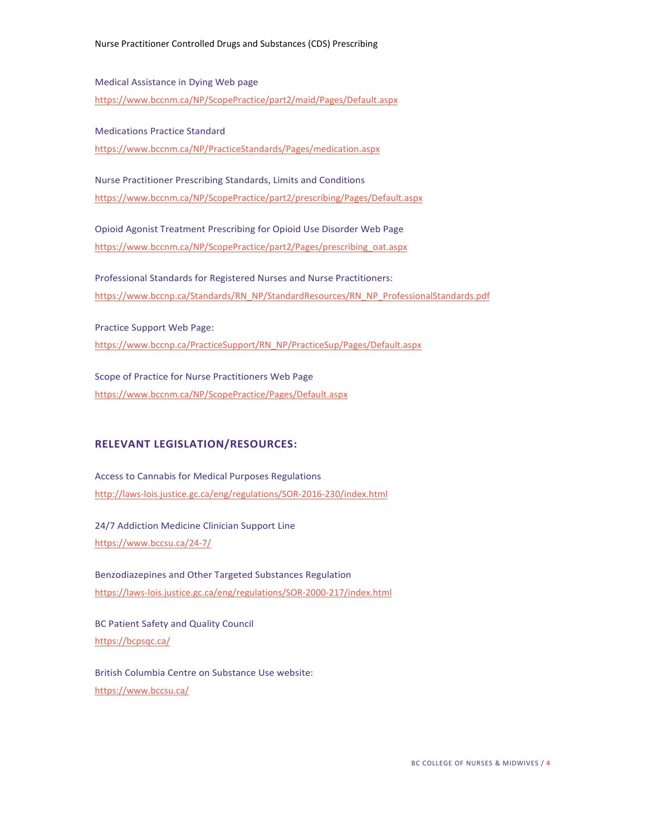Medical Assistance in Dying Web page <https://www.bccnm.ca/NP/ScopePractice/part2/maid/Pages/Default.aspx>

Medications Practice Standard <https://www.bccnm.ca/NP/PracticeStandards/Pages/medication.aspx>

Nurse Practitioner Prescribing Standards, Limits and Conditions <https://www.bccnm.ca/NP/ScopePractice/part2/prescribing/Pages/Default.aspx>

Opioid Agonist Treatment Prescribing for Opioid Use Disorder Web Page [https://www.bccnm.ca/NP/ScopePractice/part2/Pages/prescribing\\_oat.aspx](https://www.bccnm.ca/NP/ScopePractice/part2/Pages/prescribing_oat.aspx)

Professional Standards for Registered Nurses and Nurse Practitioners: [https://www.bccnp.ca/Standards/RN\\_NP/StandardResources/RN\\_NP\\_ProfessionalStandards.pdf](https://www.bccnp.ca/Standards/RN_NP/StandardResources/RN_NP_ProfessionalStandards.pdf)

Practice Support Web Page: [https://www.bccnp.ca/PracticeSupport/RN\\_NP/PracticeSup/Pages/Default.aspx](https://www.bccnp.ca/PracticeSupport/RN_NP/PracticeSup/Pages/Default.aspx)

Scope of Practice for Nurse Practitioners Web Page <https://www.bccnm.ca/NP/ScopePractice/Pages/Default.aspx>

#### **RELEVANT LEGISLATION/RESOURCES:**

Access to Cannabis for Medical Purposes Regulations <http://laws-lois.justice.gc.ca/eng/regulations/SOR-2016-230/index.html>

24/7 Addiction Medicine Clinician Support Line <https://www.bccsu.ca/24-7/>

Benzodiazepines and Other Targeted Substances Regulation <https://laws-lois.justice.gc.ca/eng/regulations/SOR-2000-217/index.html>

BC Patient Safety and Quality Council <https://bcpsqc.ca/>

British Columbia Centre on Substance Use website: <https://www.bccsu.ca/>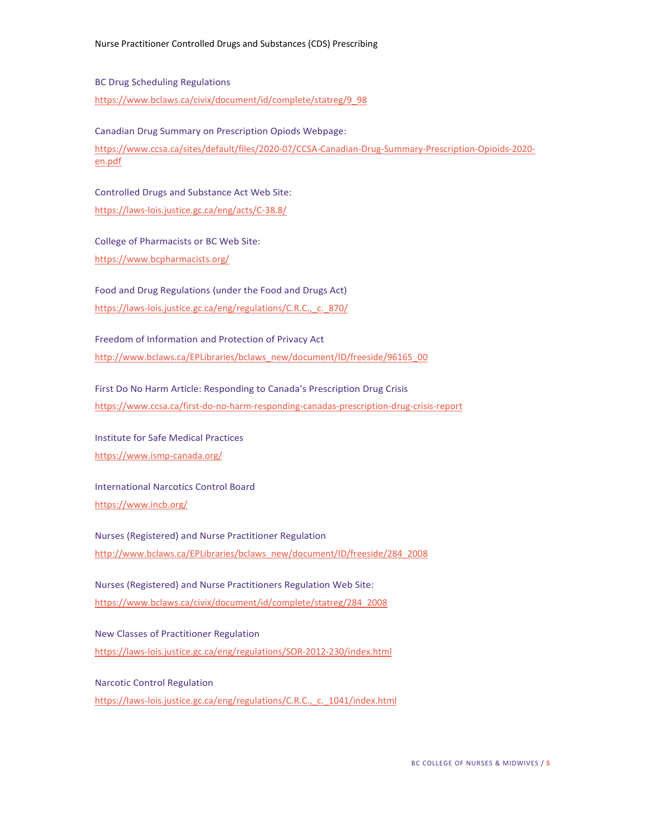#### BC Drug Scheduling Regulations

[https://www.bclaws.ca/civix/document/id/complete/statreg/9\\_98](https://www.bclaws.ca/civix/document/id/complete/statreg/9_98)

Canadian Drug Summary on Prescription Opiods Webpage:

[https://www.ccsa.ca/sites/default/files/2020-07/CCSA-Canadian-Drug-Summary-Prescription-Opioids-2020](https://www.ccsa.ca/sites/default/files/2020-07/CCSA-Canadian-Drug-Summary-Prescription-Opioids-2020-en.pdf) [en.pdf](https://www.ccsa.ca/sites/default/files/2020-07/CCSA-Canadian-Drug-Summary-Prescription-Opioids-2020-en.pdf)

Controlled Drugs and Substance Act Web Site: <https://laws-lois.justice.gc.ca/eng/acts/C-38.8/>

College of Pharmacists or BC Web Site: <https://www.bcpharmacists.org/>

Food and Drug Regulations (under the Food and Drugs Act) https://laws-lois.justice.gc.ca/eng/regulations/C.R.C., c. 870/

Freedom of Information and Protection of Privacy Act [http://www.bclaws.ca/EPLibraries/bclaws\\_new/document/ID/freeside/96165\\_00](http://www.bclaws.ca/EPLibraries/bclaws_new/document/ID/freeside/96165_00)

First Do No Harm Article: Responding to Canada's Prescription Drug Crisis <https://www.ccsa.ca/first-do-no-harm-responding-canadas-prescription-drug-crisis-report>

Institute for Safe Medical Practices <https://www.ismp-canada.org/>

International Narcotics Control Board <https://www.incb.org/>

Nurses (Registered) and Nurse Practitioner Regulation [http://www.bclaws.ca/EPLibraries/bclaws\\_new/document/ID/freeside/284\\_2008](http://www.bclaws.ca/EPLibraries/bclaws_new/document/ID/freeside/284_2008)

Nurses (Registered) and Nurse Practitioners Regulation Web Site: [https://www.bclaws.ca/civix/document/id/complete/statreg/284\\_2008](https://www.bclaws.ca/civix/document/id/complete/statreg/284_2008)

New Classes of Practitioner Regulation <https://laws-lois.justice.gc.ca/eng/regulations/SOR-2012-230/index.html>

Narcotic Control Regulation [https://laws-lois.justice.gc.ca/eng/regulations/C.R.C.,\\_c.\\_1041/index.html](https://laws-lois.justice.gc.ca/eng/regulations/C.R.C.,_c._1041/index.html)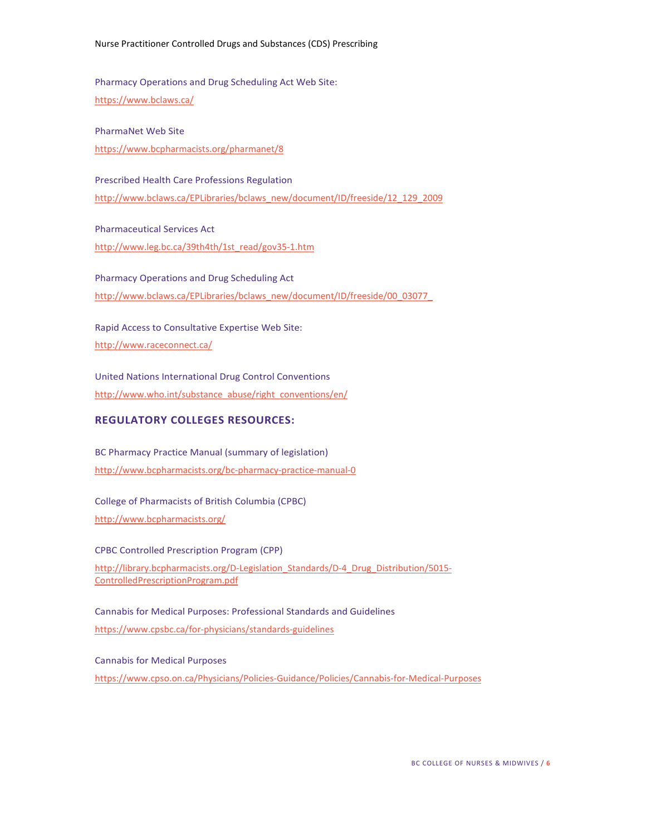Pharmacy Operations and Drug Scheduling Act Web Site: <https://www.bclaws.ca/>

PharmaNet Web Site [https://www.bcpharmacists.org/pharmanet/8](https://www.bcpharmacists.org/pharmanet/)

Prescribed Health Care Professions Regulation [http://www.bclaws.ca/EPLibraries/bclaws\\_new/document/ID/freeside/12\\_129\\_2009](http://www.bclaws.ca/EPLibraries/bclaws_new/document/ID/freeside/12_129_2009)

Pharmaceutical Services Act [http://www.leg.bc.ca/39th4th/1st\\_read/gov35-1.htm](http://www.leg.bc.ca/39th4th/1st_read/gov35-1.htm)

Pharmacy Operations and Drug Scheduling Act [http://www.bclaws.ca/EPLibraries/bclaws\\_new/document/ID/freeside/00\\_03077\\_](http://www.bclaws.ca/EPLibraries/bclaws_new/document/ID/freeside/00_03077_)

Rapid Access to Consultative Expertise Web Site: <http://www.raceconnect.ca/>

United Nations International Drug Control Conventions [http://www.who.int/substance\\_abuse/right\\_conventions/en/](http://www.who.int/substance_abuse/right_conventions/en/)

# **REGULATORY COLLEGES RESOURCES:**

BC Pharmacy Practice Manual (summary of legislation) <http://www.bcpharmacists.org/bc-pharmacy-practice-manual-0>

College of Pharmacists of British Columbia (CPBC) <http://www.bcpharmacists.org/>

CPBC Controlled Prescription Program (CPP) [http://library.bcpharmacists.org/D-Legislation\\_Standards/D-4\\_Drug\\_Distribution/5015-](http://library.bcpharmacists.org/6_Resources/6-4_Drug_Distribution/5015-ControlledPrescriptionProgram.pdf) [ControlledPrescriptionProgram.pdf](http://library.bcpharmacists.org/6_Resources/6-4_Drug_Distribution/5015-ControlledPrescriptionProgram.pdf)

Cannabis for Medical Purposes: Professional Standards and Guidelines <https://www.cpsbc.ca/for-physicians/standards-guidelines>

Cannabis for Medical Purposes <https://www.cpso.on.ca/Physicians/Policies-Guidance/Policies/Cannabis-for-Medical-Purposes>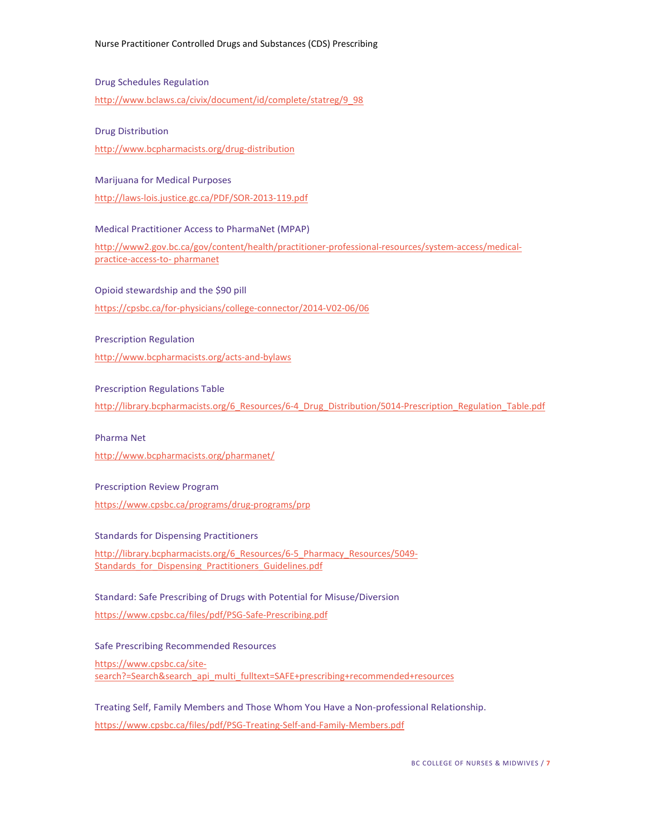Drug Schedules Regulation

[http://www.bclaws.ca/civix/document/id/complete/statreg/9\\_98](http://www.bclaws.ca/civix/document/id/complete/statreg/9_98)

#### Drug Distribution

<http://www.bcpharmacists.org/drug-distribution>

#### Marijuana for Medical Purposes

<http://laws-lois.justice.gc.ca/PDF/SOR-2013-119.pdf>

Medical Practitioner Access to PharmaNet (MPAP)

[http://www2.gov.bc.ca/gov/content/health/practitioner-professional-resources/system-access/medical](http://www2.gov.bc.ca/gov/content/health/practitioner-professional-resources/system-access/medical-practice-access-to-pharmanet)[practice-access-to-](http://www2.gov.bc.ca/gov/content/health/practitioner-professional-resources/system-access/medical-practice-access-to-pharmanet) [pharmanet](http://www2.gov.bc.ca/gov/content/health/practitioner-professional-resources/system-access/medical-practice-access-to-pharmanet)

Opioid stewardship and the \$90 pill

<https://cpsbc.ca/for-physicians/college-connector/2014-V02-06/06>

#### Prescription Regulation

<http://www.bcpharmacists.org/acts-and-bylaws>

#### Prescription Regulations Table

[http://library.bcpharmacists.org/6\\_Resources/6-4\\_Drug\\_Distribution/5014-Prescription\\_Regulation\\_Table.pdf](http://library.bcpharmacists.org/6_Resources/6-4_Drug_Distribution/5014-Prescription_Regulation_Table.pdf)

#### Pharma Net

<http://www.bcpharmacists.org/pharmanet/>

#### Prescription Review Program

<https://www.cpsbc.ca/programs/drug-programs/prp>

#### Standards for Dispensing Practitioners

[http://library.bcpharmacists.org/6\\_Resources/6-5\\_Pharmacy\\_Resources/5049-](http://library.bcpharmacists.org/6_Resources/6-5_Pharmacy_Resources/5049-Standards_for_Dispensing_Practitioners_Guidelines.pdf) Standards for Dispensing Practitioners Guidelines.pdf

# Standard: Safe Prescribing of Drugs with Potential for Misuse/Diversion

<https://www.cpsbc.ca/files/pdf/PSG-Safe-Prescribing.pdf>

#### Safe Prescribing Recommended Resources

[https://www.cpsbc.ca/site](https://www.cpsbc.ca/site-search?=Search&search_api_multi_fulltext=SAFE%2Bprescribing%2Brecommended%2Bresources)[search?=Search&search\\_api\\_multi\\_fulltext=SAFE+prescribing+recommended+resources](https://www.cpsbc.ca/site-search?=Search&search_api_multi_fulltext=SAFE%2Bprescribing%2Brecommended%2Bresources)

Treating Self, Family Members and Those Whom You Have a Non-professional Relationship. <https://www.cpsbc.ca/files/pdf/PSG-Treating-Self-and-Family-Members.pdf>

BC COLLEGE OF NURSES & MIDWIVES / **7**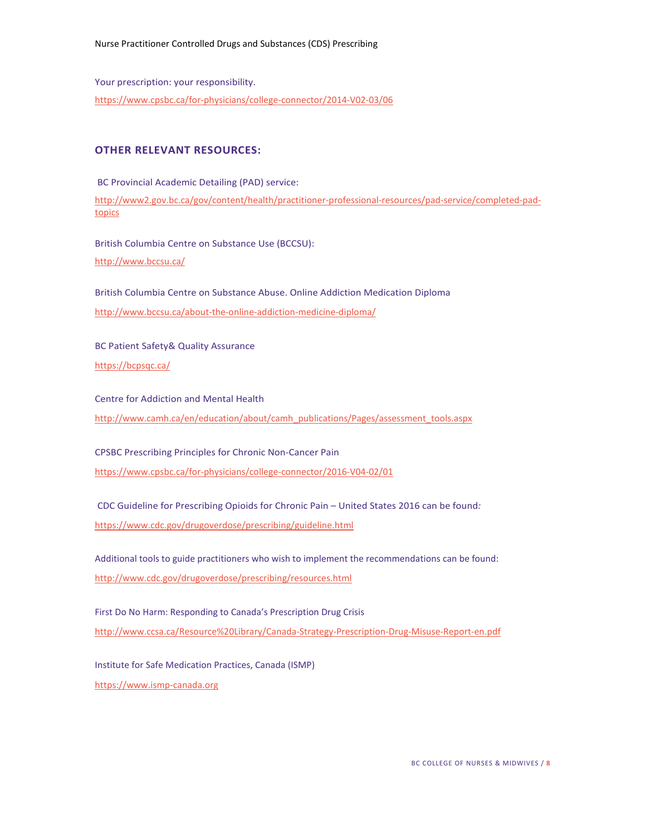Your prescription: your responsibility. <https://www.cpsbc.ca/for-physicians/college-connector/2014-V02-03/06>

# **OTHER RELEVANT RESOURCES:**

BC Provincial Academic Detailing (PAD) service: [http://www2.gov.bc.ca/gov/content/health/practitioner-professional-resources/pad-service/completed-pad](http://www2.gov.bc.ca/gov/content/health/practitioner-professional-resources/pad-service/completed-pad-topics)**[topics](http://www2.gov.bc.ca/gov/content/health/practitioner-professional-resources/pad-service/completed-pad-topics)** 

British Columbia Centre on Substance Use (BCCSU): <http://www.bccsu.ca/>

British Columbia Centre on Substance Abuse. Online Addiction Medication Diploma <http://www.bccsu.ca/about-the-online-addiction-medicine-diploma/>

BC Patient Safety& Quality Assurance <https://bcpsqc.ca/>

Centre for Addiction and Mental Health [http://www.camh.ca/en/education/about/camh\\_publications/Pages/assessment\\_tools.aspx](http://www.camh.ca/en/education/about/camh_publications/Pages/assessment_tools.aspx)

CPSBC Prescribing Principles for Chronic Non-Cancer Pain <https://www.cpsbc.ca/for-physicians/college-connector/2016-V04-02/01>

CDC Guideline for Prescribing Opioids for Chronic Pain – United States 2016 can be found*:* <https://www.cdc.gov/drugoverdose/prescribing/guideline.html>

Additional tools to guide practitioners who wish to implement the recommendations can be found: <http://www.cdc.gov/drugoverdose/prescribing/resources.html>

First Do No Harm: Responding to Canada's Prescription Drug Crisis <http://www.ccsa.ca/Resource%20Library/Canada-Strategy-Prescription-Drug-Misuse-Report-en.pdf>

Institute for Safe Medication Practices, Canada (ISMP) [https://www.ismp-canada.org](https://www.ismp-canada.org/)